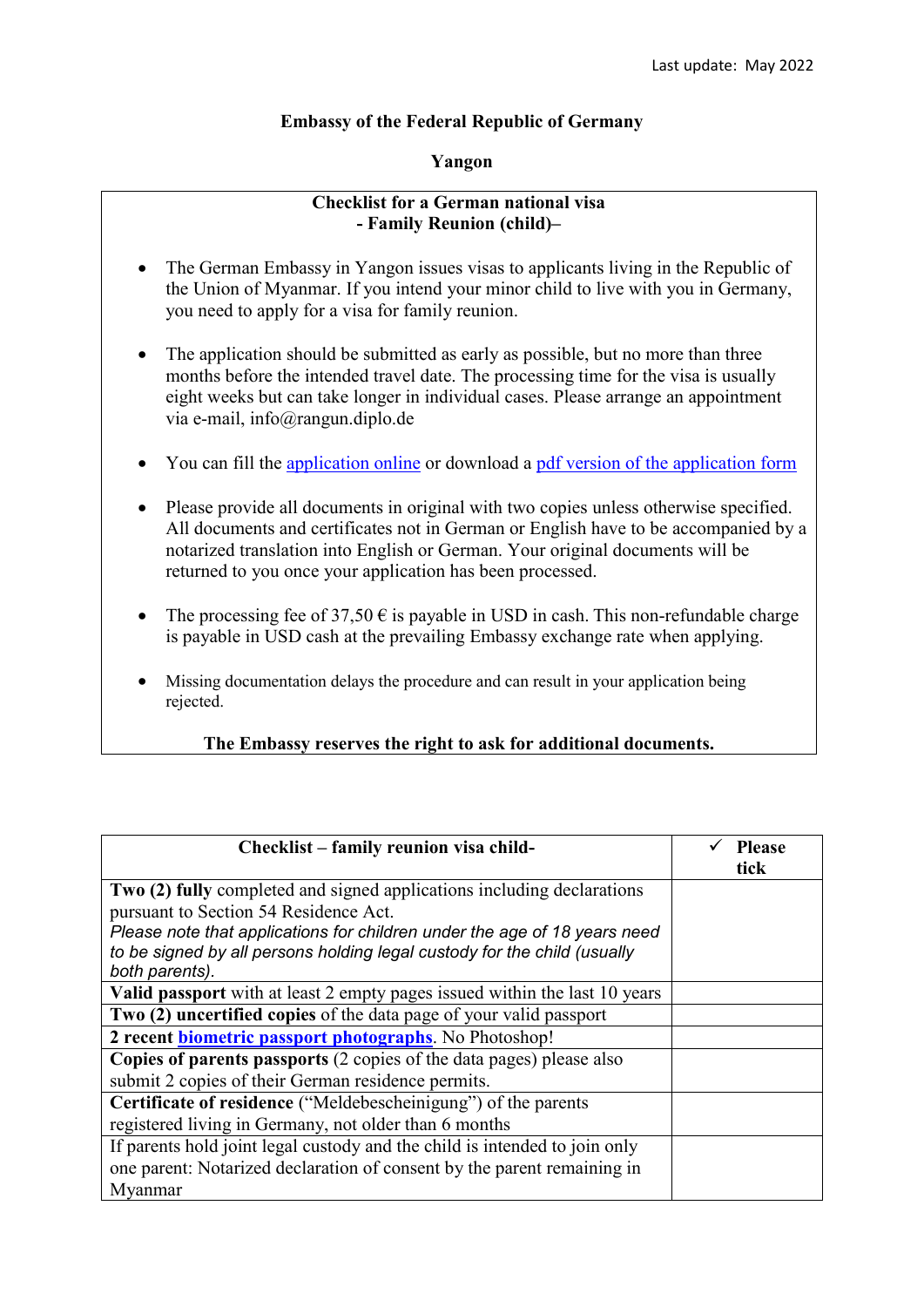## **Embassy of the Federal Republic of Germany**

## **Yangon**

## **Checklist for a German national visa - Family Reunion (child)–**

- The German Embassy in Yangon issues visas to applicants living in the Republic of the Union of Myanmar. If you intend your minor child to live with you in Germany, you need to apply for a visa for family reunion.
- The application should be submitted as early as possible, but no more than three months before the intended travel date. The processing time for the visa is usually eight weeks but can take longer in individual cases. Please arrange an appointment via e-mail, info@rangun.diplo.de
- You can fill the [application online](https://videx-national.diplo.de/videx/visum-erfassung/#/videx-langfristiger-aufenthalt) or download a [pdf version of the application form](https://rangun.diplo.de/blob/1673600/2a17cac760469832eddb69af5455d3c9/neuer-inhalt-data.pdf)
- Please provide all documents in original with two copies unless otherwise specified. All documents and certificates not in German or English have to be accompanied by a notarized translation into English or German. Your original documents will be returned to you once your application has been processed.
- The processing fee of 37,50  $\epsilon$  is payable in USD in cash. This non-refundable charge is payable in USD cash at the prevailing Embassy exchange rate when applying.
- Missing documentation delays the procedure and can result in your application being rejected.

## **The Embassy reserves the right to ask for additional documents.**

| Checklist – family reunion visa child-                                                                                                                                                       | <b>Please</b><br>tick |
|----------------------------------------------------------------------------------------------------------------------------------------------------------------------------------------------|-----------------------|
| Two (2) fully completed and signed applications including declarations<br>pursuant to Section 54 Residence Act.<br>Please note that applications for children under the age of 18 years need |                       |
| to be signed by all persons holding legal custody for the child (usually<br>both parents).                                                                                                   |                       |
| Valid passport with at least 2 empty pages issued within the last 10 years                                                                                                                   |                       |
| Two (2) uncertified copies of the data page of your valid passport                                                                                                                           |                       |
| 2 recent <b>biometric passport photographs</b> . No Photoshop!                                                                                                                               |                       |
| Copies of parents passports (2 copies of the data pages) please also                                                                                                                         |                       |
| submit 2 copies of their German residence permits.                                                                                                                                           |                       |
| Certificate of residence ("Meldebescheinigung") of the parents                                                                                                                               |                       |
| registered living in Germany, not older than 6 months                                                                                                                                        |                       |
| If parents hold joint legal custody and the child is intended to join only                                                                                                                   |                       |
| one parent: Notarized declaration of consent by the parent remaining in                                                                                                                      |                       |
| Myanmar                                                                                                                                                                                      |                       |